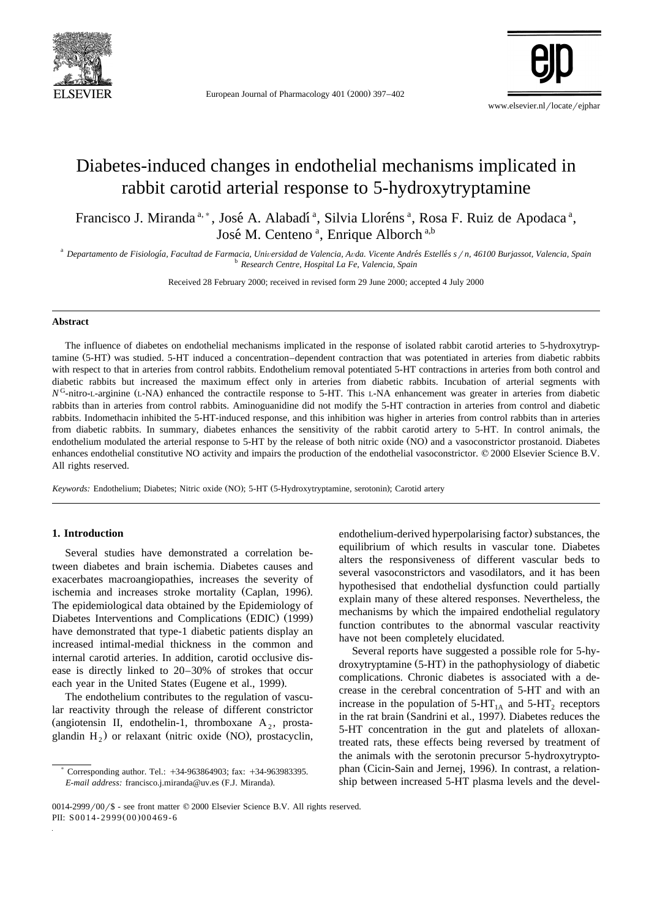

European Journal of Pharmacology 401 (2000) 397-402

www.elsevier.nl/locate/ejphar

# Diabetes-induced changes in endothelial mechanisms implicated in rabbit carotid arterial response to 5-hydroxytryptamine

Francisco J. Miranda<sup>a,\*</sup>, José A. Alabadí<sup>a</sup>, Silvia Lloréns<sup>a</sup>, Rosa F. Ruiz de Apodaca<sup>a</sup>, José M. Centeno<sup>a</sup>, Enrique Alborch<sup>a,b</sup>

<sup>a</sup> Departamento de Fisiología, Facultad de Farmacia, Universidad de Valencia, Avda. Vicente Andrés Estellés s / n, 46100 Burjassot, Valencia, Spain<br><sup>b</sup> Research Centre, Hospital La Fe, Valencia, Spain

Received 28 February 2000; received in revised form 29 June 2000; accepted 4 July 2000

# **Abstract**

The influence of diabetes on endothelial mechanisms implicated in the response of isolated rabbit carotid arteries to 5-hydroxytryptamine (5-HT) was studied. 5-HT induced a concentration–dependent contraction that was potentiated in arteries from diabetic rabbits with respect to that in arteries from control rabbits. Endothelium removal potentiated 5-HT contractions in arteries from both control and diabetic rabbits but increased the maximum effect only in arteries from diabetic rabbits. Incubation of arterial segments with  $N<sup>G</sup>$ -nitro-L-arginine (L-NA) enhanced the contractile response to 5-HT. This L-NA enhancement was greater in arteries from diabetic rabbits than in arteries from control rabbits. Aminoguanidine did not modify the 5-HT contraction in arteries from control and diabetic rabbits. Indomethacin inhibited the 5-HT-induced response, and this inhibition was higher in arteries from control rabbits than in arteries from diabetic rabbits. In summary, diabetes enhances the sensitivity of the rabbit carotid artery to 5-HT. In control animals, the endothelium modulated the arterial response to 5-HT by the release of both nitric oxide (NO) and a vasoconstrictor prostanoid. Diabetes enhances endothelial constitutive NO activity and impairs the production of the endothelial vasoconstrictor. © 2000 Elsevier Science B.V. All rights reserved.

*Keywords:* Endothelium; Diabetes; Nitric oxide (NO); 5-HT (5-Hydroxytryptamine, serotonin); Carotid artery

# **1. Introduction**

Several studies have demonstrated a correlation between diabetes and brain ischemia. Diabetes causes and exacerbates macroangiopathies, increases the severity of ischemia and increases stroke mortality (Caplan, 1996). The epidemiological data obtained by the Epidemiology of Diabetes Interventions and Complications (EDIC) (1999) have demonstrated that type-1 diabetic patients display an increased intimal-medial thickness in the common and internal carotid arteries. In addition, carotid occlusive disease is directly linked to 20–30% of strokes that occur each year in the United States (Eugene et al., 1999).

The endothelium contributes to the regulation of vascular reactivity through the release of different constrictor (angiotensin II, endothelin-1, thromboxane  $A_2$ , prostaglandin  $H_2$ ) or relaxant (nitric oxide (NO), prostacyclin,

endothelium-derived hyperpolarising factor) substances, the equilibrium of which results in vascular tone. Diabetes alters the responsiveness of different vascular beds to several vasoconstrictors and vasodilators, and it has been hypothesised that endothelial dysfunction could partially explain many of these altered responses. Nevertheless, the mechanisms by which the impaired endothelial regulatory function contributes to the abnormal vascular reactivity have not been completely elucidated.

Several reports have suggested a possible role for 5-hydroxytryptamine (5-HT) in the pathophysiology of diabetic complications. Chronic diabetes is associated with a decrease in the cerebral concentration of 5-HT and with an increase in the population of  $5-HT<sub>1A</sub>$  and  $5-HT<sub>2</sub>$  receptors in the rat brain (Sandrini et al., 1997). Diabetes reduces the 5-HT concentration in the gut and platelets of alloxantreated rats, these effects being reversed by treatment of the animals with the serotonin precursor 5-hydroxytryptophan (Cicin-Sain and Jernej, 1996). In contrast, a relationship between increased 5-HT plasma levels and the devel-

Corresponding author. Tel.: +34-963864903; fax: +34-963983395. *E-mail address:* francisco.j.miranda@uv.es (F.J. Miranda).

 $0014-2999/00$  /\$ - see front matter  $@$  2000 Elsevier Science B.V. All rights reserved. PII: S0014-2999(00)00469-6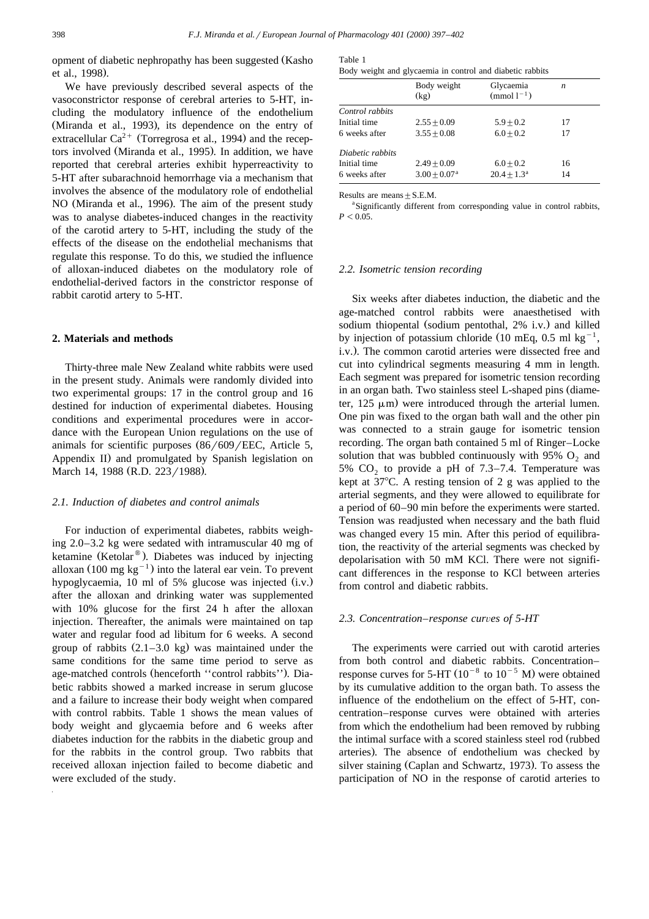opment of diabetic nephropathy has been suggested (Kasho et al., 1998).

We have previously described several aspects of the vasoconstrictor response of cerebral arteries to 5-HT, including the modulatory influence of the endothelium (Miranda et al., 1993), its dependence on the entry of extracellular  $Ca^{2+}$  (Torregrosa et al., 1994) and the receptors involved (Miranda et al., 1995). In addition, we have reported that cerebral arteries exhibit hyperreactivity to 5-HT after subarachnoid hemorrhage via a mechanism that involves the absence of the modulatory role of endothelial NO (Miranda et al., 1996). The aim of the present study was to analyse diabetes-induced changes in the reactivity of the carotid artery to 5-HT, including the study of the effects of the disease on the endothelial mechanisms that regulate this response. To do this, we studied the influence of alloxan-induced diabetes on the modulatory role of endothelial-derived factors in the constrictor response of rabbit carotid artery to 5-HT.

# **2. Materials and methods**

Thirty-three male New Zealand white rabbits were used in the present study. Animals were randomly divided into two experimental groups: 17 in the control group and 16 destined for induction of experimental diabetes. Housing conditions and experimental procedures were in accordance with the European Union regulations on the use of animals for scientific purposes  $\frac{86}{609}$  EEC, Article 5, Appendix II) and promulgated by Spanish legislation on March 14, 1988 (R.D. 223/1988).

#### *2.1. Induction of diabetes and control animals*

For induction of experimental diabetes, rabbits weighing 2.0–3.2 kg were sedated with intramuscular 40 mg of ketamine (Ketolar<sup>®</sup>). Diabetes was induced by injecting alloxan  $(100 \text{ mg kg}^{-1})$  into the lateral ear vein. To prevent hypoglycaemia, 10 ml of 5% glucose was injected  $(i.v.)$ after the alloxan and drinking water was supplemented with 10% glucose for the first 24 h after the alloxan injection. Thereafter, the animals were maintained on tap water and regular food ad libitum for 6 weeks. A second group of rabbits  $(2.1-3.0 \text{ kg})$  was maintained under the same conditions for the same time period to serve as age-matched controls (henceforth "control rabbits"). Diabetic rabbits showed a marked increase in serum glucose and a failure to increase their body weight when compared with control rabbits. Table 1 shows the mean values of body weight and glycaemia before and 6 weeks after diabetes induction for the rabbits in the diabetic group and for the rabbits in the control group. Two rabbits that received alloxan injection failed to become diabetic and were excluded of the study.

| Table 1 |  |                                                           |  |  |  |
|---------|--|-----------------------------------------------------------|--|--|--|
|         |  | Body weight and glycaemia in control and diabetic rabbits |  |  |  |

|                  | Body weight<br>(kg)        | Glycaemia<br>$\pmod{1^{-1}}$ | $\boldsymbol{n}$ |
|------------------|----------------------------|------------------------------|------------------|
| Control rabbits  |                            |                              |                  |
| Initial time     | $2.55 + 0.09$              | $5.9 + 0.2$                  | 17               |
| 6 weeks after    | $3.55 + 0.08$              | $6.0 + 0.2$                  | 17               |
| Diabetic rabbits |                            |                              |                  |
| Initial time     | $2.49 + 0.09$              | $6.0 + 0.2$                  | 16               |
| 6 weeks after    | $3.00 + 0.07$ <sup>a</sup> | $20.4 + 1.3^a$               | 14               |

Results are means  $+SEM$ .

<sup>a</sup>Significantly different from corresponding value in control rabbits,  $P<0.05$ .

#### *2.2. Isometric tension recording*

Six weeks after diabetes induction, the diabetic and the age-matched control rabbits were anaesthetised with sodium thiopental (sodium pentothal, 2% i.v.) and killed by injection of potassium chloride (10 mEq, 0.5 ml kg<sup>-1</sup>, i.v.). The common carotid arteries were dissected free and cut into cylindrical segments measuring 4 mm in length. Each segment was prepared for isometric tension recording in an organ bath. Two stainless steel L-shaped pins (diameter,  $125 \mu m$ ) were introduced through the arterial lumen. One pin was fixed to the organ bath wall and the other pin was connected to a strain gauge for isometric tension recording. The organ bath contained 5 ml of Ringer–Locke solution that was bubbled continuously with 95%  $O_2$  and 5%  $CO<sub>2</sub>$  to provide a pH of 7.3–7.4. Temperature was kept at  $37^{\circ}$ C. A resting tension of 2 g was applied to the arterial segments, and they were allowed to equilibrate for a period of 60–90 min before the experiments were started. Tension was readjusted when necessary and the bath fluid was changed every 15 min. After this period of equilibration, the reactivity of the arterial segments was checked by depolarisation with 50 mM KCl. There were not significant differences in the response to KCl between arteries from control and diabetic rabbits.

#### 2.3. Concentration–response curves of 5-HT

The experiments were carried out with carotid arteries from both control and diabetic rabbits. Concentration– response curves for 5-HT  $(10^{-8}$  to  $10^{-5}$  M) were obtained by its cumulative addition to the organ bath. To assess the influence of the endothelium on the effect of 5-HT, concentration–response curves were obtained with arteries from which the endothelium had been removed by rubbing the intimal surface with a scored stainless steel rod (rubbed arteries). The absence of endothelium was checked by silver staining (Caplan and Schwartz, 1973). To assess the participation of NO in the response of carotid arteries to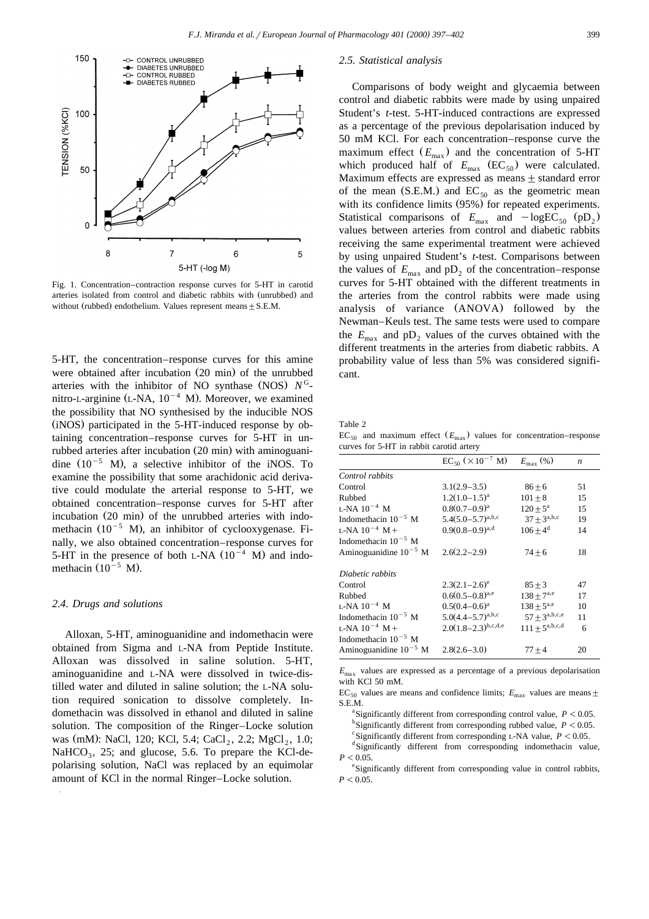

Fig. 1. Concentration–contraction response curves for 5-HT in carotid arteries isolated from control and diabetic rabbits with (unrubbed) and without (rubbed) endothelium. Values represent means  $\pm$  S.E.M.

5-HT, the concentration–response curves for this amine were obtained after incubation  $(20 \text{ min})$  of the unrubbed arteries with the inhibitor of NO synthase (NOS)  $N<sup>G</sup>$ nitro-L-arginine  $(L-NA, 10^{-4} M)$ . Moreover, we examined the possibility that NO synthesised by the inducible NOS (iNOS) participated in the 5-HT-induced response by obtaining concentration–response curves for 5-HT in unrubbed arteries after incubation (20 min) with aminoguanidine  $(10^{-5}$  M), a selective inhibitor of the iNOS. To examine the possibility that some arachidonic acid derivative could modulate the arterial response to 5-HT, we obtained concentration–response curves for 5-HT after incubation (20 min) of the unrubbed arteries with indomethacin  $(10^{-5}$  M), an inhibitor of cyclooxygenase. Finally, we also obtained concentration–response curves for 5-HT in the presence of both L-NA  $(10^{-4}$  M) and indomethacin  $(10^{-5}$  M).

# *2.4. Drugs and solutions*

Alloxan, 5-HT, aminoguanidine and indomethacin were obtained from Sigma and L-NA from Peptide Institute. Alloxan was dissolved in saline solution. 5-HT, aminoguanidine and L-NA were dissolved in twice-distilled water and diluted in saline solution; the L-NA solution required sonication to dissolve completely. Indomethacin was dissolved in ethanol and diluted in saline solution. The composition of the Ringer–Locke solution was (mM): NaCl, 120; KCl, 5.4; CaCl, 2.2; MgCl, 1.0; NaHCO<sub>3</sub>, 25; and glucose, 5.6. To prepare the KCl-depolarising solution, NaCl was replaced by an equimolar amount of KCl in the normal Ringer–Locke solution.

#### *2.5. Statistical analysis*

Comparisons of body weight and glycaemia between control and diabetic rabbits were made by using unpaired Student's *t*-test. 5-HT-induced contractions are expressed as a percentage of the previous depolarisation induced by 50 mM KCl. For each concentration–response curve the maximum effect  $(E_{\text{max}})$  and the concentration of 5-HT which produced half of  $E_{\text{max}}$  (EC<sub>50</sub>) were calculated. Maximum effects are expressed as means  $\pm$  standard error of the mean (S.E.M.) and  $EC_{50}$  as the geometric mean with its confidence limits (95%) for repeated experiments. Statistical comparisons of  $E_{\text{max}}$  and  $-\log\text{EC}_{50}$  (pD<sub>2</sub>) values between arteries from control and diabetic rabbits receiving the same experimental treatment were achieved by using unpaired Student's *t*-test. Comparisons between the values of  $E_{\text{max}}$  and  $pD_2$  of the concentration–response curves for 5-HT obtained with the different treatments in the arteries from the control rabbits were made using analysis of variance (ANOVA) followed by the Newman–Keuls test. The same tests were used to compare the  $E_{\text{max}}$  and pD<sub>2</sub> values of the curves obtained with the different treatments in the arteries from diabetic rabbits. A probability value of less than 5% was considered significant.

Table 2

 $EC_{50}$  and maximum effect  $(E_{\text{max}})$  values for concentration–response curves for 5-HT in rabbit carotid artery

|                            | $EC_{50}$ ( $\times 10^{-7}$ M) | $E_{\rm max}$ (%)   | $\boldsymbol{n}$ |
|----------------------------|---------------------------------|---------------------|------------------|
| Control rabbits            |                                 |                     |                  |
| Control                    | $3.1(2.9-3.5)$                  | $86 + 6$            | 51               |
| Rubbed                     | $1.2(1.0-1.5)^{a}$              | $101 + 8$           | 15               |
| L-NA $10^{-4}$ M           | $0.8(0.7-0.9)^a$                | $120 + 5^{\rm a}$   | 15               |
| Indomethacin $10^{-5}$ M   | $5.4(5.0-5.7)^{a,b,c}$          | $37 + 3^{a,b,c}$    | 19               |
| L-NA $10^{-4}$ M +         | $0.9(0.8-0.9)^{a,d}$            | $106 + 4^d$         | 14               |
| Indomethacin $10^{-5}$ M   |                                 |                     |                  |
| Aminoguanidine $10^{-5}$ M | $2.6(2.2 - 2.9)$                | $74 + 6$            | 18               |
| Diabetic rabbits           |                                 |                     |                  |
| Control                    | $2.3(2.1-2.6)^e$                | $85 + 3$            | 47               |
| Rubbed                     | $0.6(0.5-0.8)^{a,e}$            | $138 + 7^{a,e}$     | 17               |
| L-NA $10^{-4}$ M           | $0.5(0.4-0.6)$ <sup>a</sup>     | $138 + 5^{a,e}$     | 10               |
| Indomethacin $10^{-5}$ M   | $5.0(4.4-5.7)^{a,b,c}$          | $57 + 3^{a,b,c,e}$  | 11               |
| L-NA $10^{-4}$ M +         | $2.0(1.8-2.3)^{b,c,d,e}$        | $111 + 5^{a,b,c,d}$ | 6                |
| Indomethacin $10^{-5}$ M   |                                 |                     |                  |
| Aminoguanidine $10^{-5}$ M | $2.8(2.6 - 3.0)$                | $77 + 4$            | 20               |

*E*max values are expressed as a percentage of a previous depolarisation with KCl 50 mM.

EC<sub>50</sub> values are means and confidence limits;  $E_{\text{max}}$  values are means  $\pm$  $S.E.M.$ 

<sup>a</sup> Significantly different from corresponding control value,  $P < 0.05$ . <sup>b</sup>Significantly different from corresponding rubbed value,  $P < 0.05$ .

 $\text{Significantly different from corresponding L-NA value, } P < 0.05.$ 

dSignificantly different from corresponding indomethacin value,  $P < 0.05$ .

e Significantly different from corresponding value in control rabbits,  $P<0.05$ .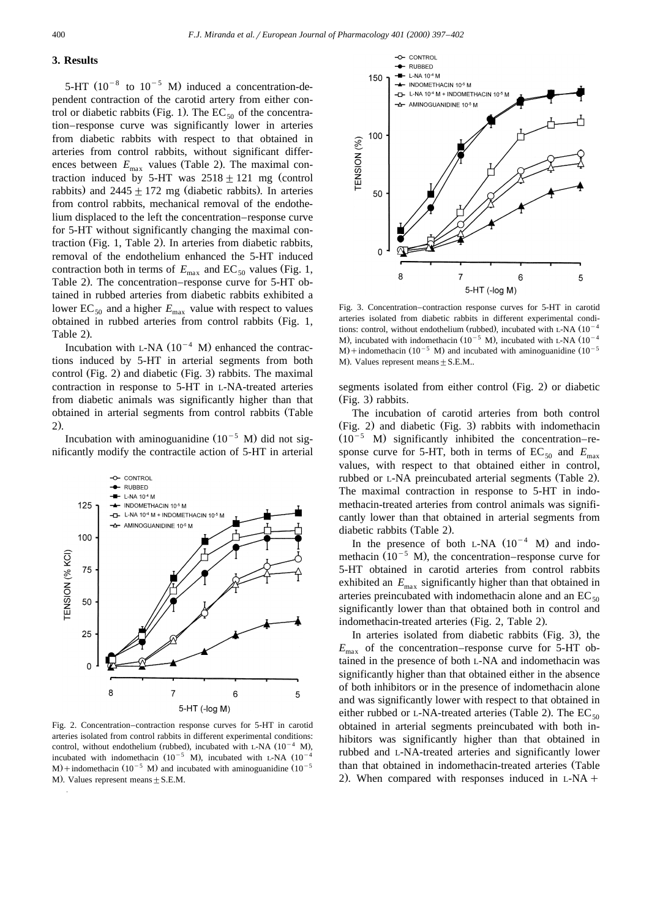# **3. Results**

5-HT  $(10^{-8}$  to  $10^{-5}$  M) induced a concentration-dependent contraction of the carotid artery from either control or diabetic rabbits (Fig. 1). The  $EC_{50}$  of the concentration–response curve was significantly lower in arteries from diabetic rabbits with respect to that obtained in arteries from control rabbits, without significant differences between  $E_{\text{max}}$  values (Table 2). The maximal contraction induced by 5-HT was  $2518 \pm 121$  mg (control rabbits) and  $2445 \pm 172$  mg (diabetic rabbits). In arteries from control rabbits, mechanical removal of the endothelium displaced to the left the concentration–response curve for 5-HT without significantly changing the maximal contraction (Fig. 1, Table 2). In arteries from diabetic rabbits, removal of the endothelium enhanced the 5-HT induced contraction both in terms of  $E_{\text{max}}$  and EC<sub>50</sub> values (Fig. 1, Table 2). The concentration–response curve for 5-HT obtained in rubbed arteries from diabetic rabbits exhibited a lower EC<sub>50</sub> and a higher  $E_{\text{max}}$  value with respect to values obtained in rubbed arteries from control rabbits (Fig. 1, Table 2).

Incubation with L-NA  $(10^{-4}$  M) enhanced the contractions induced by 5-HT in arterial segments from both control (Fig. 2) and diabetic (Fig. 3) rabbits. The maximal contraction in response to 5-HT in L-NA-treated arteries from diabetic animals was significantly higher than that obtained in arterial segments from control rabbits (Table  $2$ .

Incubation with aminoguanidine  $(10^{-5}$  M) did not significantly modify the contractile action of 5-HT in arterial



Fig. 2. Concentration–contraction response curves for 5-HT in carotid arteries isolated from control rabbits in different experimental conditions: control, without endothelium (rubbed), incubated with L-NA  $(10^{-4}$  M), incubated with indomethacin  $(10^{-5}$  M), incubated with L-NA  $(10^{-4}$  $M$ ) + indomethacin (10<sup>-5</sup> M) and incubated with aminoguanidine (10<sup>-5</sup> M). Values represent means  $+ S.E.M.$ 



Fig. 3. Concentration–contraction response curves for 5-HT in carotid arteries isolated from diabetic rabbits in different experimental conditions: control, without endothelium (rubbed), incubated with L-NA  $(10^{-4}$ M), incubated with indomethacin  $(10^{-5}$  M), incubated with L-NA  $(10^{-4}$  $M$  + indomethacin (10<sup>-5</sup> M) and incubated with aminoguanidine (10<sup>-5</sup>) M). Values represent means  $\pm$  S.E.M..

segments isolated from either control (Fig. 2) or diabetic  $(Fig. 3)$  rabbits.

The incubation of carotid arteries from both control  $(Fig. 2)$  and diabetic  $(Fig. 3)$  rabbits with indomethacin  $(10^{-5}$  M) significantly inhibited the concentration–response curve for 5-HT, both in terms of  $EC_{50}$  and  $E_{\text{max}}$ values, with respect to that obtained either in control, rubbed or L-NA preincubated arterial segments (Table 2). The maximal contraction in response to 5-HT in indomethacin-treated arteries from control animals was significantly lower than that obtained in arterial segments from diabetic rabbits (Table 2).

In the presence of both L-NA  $(10^{-4}$  M) and indomethacin  $(10^{-5}$  M), the concentration–response curve for 5-HT obtained in carotid arteries from control rabbits exhibited an  $E_{\text{max}}$  significantly higher than that obtained in arteries preincubated with indomethacin alone and an  $EC_{50}$ significantly lower than that obtained both in control and indomethacin-treated arteries (Fig. 2, Table 2).

In arteries isolated from diabetic rabbits (Fig. 3), the  $E_{\text{max}}$  of the concentration–response curve for 5-HT obtained in the presence of both L-NA and indomethacin was significantly higher than that obtained either in the absence of both inhibitors or in the presence of indomethacin alone and was significantly lower with respect to that obtained in either rubbed or L-NA-treated arteries (Table 2). The  $EC_{50}$ obtained in arterial segments preincubated with both inhibitors was significantly higher than that obtained in rubbed and L-NA-treated arteries and significantly lower than that obtained in indomethacin-treated arteries (Table 2). When compared with responses induced in  $L-NA$  +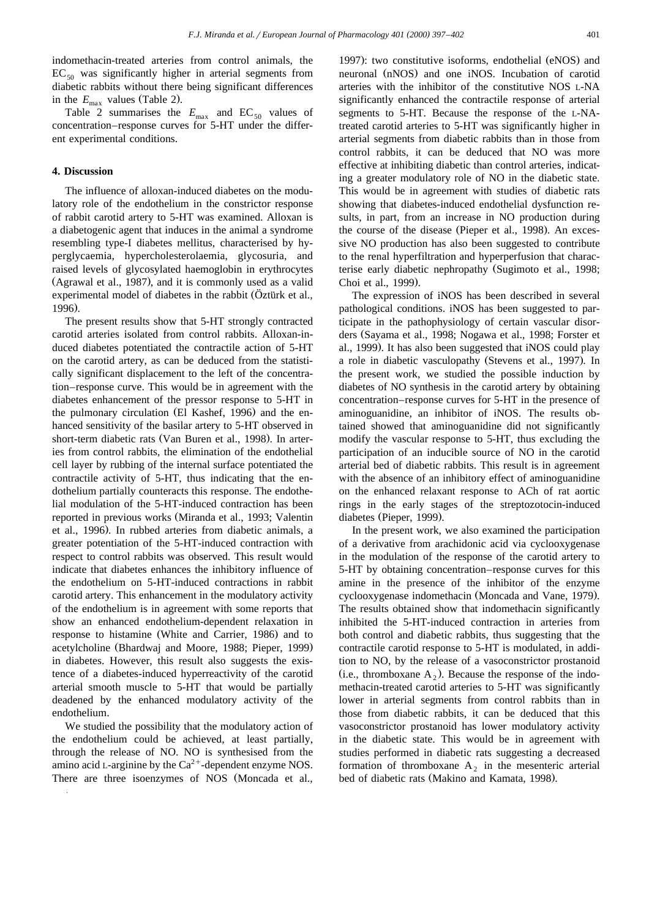indomethacin-treated arteries from control animals, the  $EC_{50}$  was significantly higher in arterial segments from diabetic rabbits without there being significant differences in the  $E_{\text{max}}$  values (Table 2).

Table 2 summarises the  $E_{\text{max}}$  and  $EC_{50}$  values of concentration–response curves for 5-HT under the different experimental conditions.

# **4. Discussion**

The influence of alloxan-induced diabetes on the modulatory role of the endothelium in the constrictor response of rabbit carotid artery to 5-HT was examined. Alloxan is a diabetogenic agent that induces in the animal a syndrome resembling type-I diabetes mellitus, characterised by hyperglycaemia, hypercholesterolaemia, glycosuria, and raised levels of glycosylated haemoglobin in erythrocytes (Agrawal et al., 1987), and it is commonly used as a valid experimental model of diabetes in the rabbit (Oztürk et al., 1996).

The present results show that 5-HT strongly contracted carotid arteries isolated from control rabbits. Alloxan-induced diabetes potentiated the contractile action of 5-HT on the carotid artery, as can be deduced from the statistically significant displacement to the left of the concentration–response curve. This would be in agreement with the diabetes enhancement of the pressor response to 5-HT in the pulmonary circulation (El Kashef, 1996) and the enhanced sensitivity of the basilar artery to 5-HT observed in short-term diabetic rats (Van Buren et al., 1998). In arteries from control rabbits, the elimination of the endothelial cell layer by rubbing of the internal surface potentiated the contractile activity of 5-HT, thus indicating that the endothelium partially counteracts this response. The endothelial modulation of the 5-HT-induced contraction has been reported in previous works (Miranda et al., 1993; Valentin et al., 1996). In rubbed arteries from diabetic animals, a greater potentiation of the 5-HT-induced contraction with respect to control rabbits was observed. This result would indicate that diabetes enhances the inhibitory influence of the endothelium on 5-HT-induced contractions in rabbit carotid artery. This enhancement in the modulatory activity of the endothelium is in agreement with some reports that show an enhanced endothelium-dependent relaxation in response to histamine (White and Carrier, 1986) and to acetylcholine (Bhardwaj and Moore, 1988; Pieper, 1999) in diabetes. However, this result also suggests the existence of a diabetes-induced hyperreactivity of the carotid arterial smooth muscle to 5-HT that would be partially deadened by the enhanced modulatory activity of the endothelium.

We studied the possibility that the modulatory action of the endothelium could be achieved, at least partially, through the release of NO. NO is synthesised from the amino acid L-arginine by the  $Ca^{2+}$ -dependent enzyme NOS. There are three isoenzymes of NOS (Moncada et al.,

1997): two constitutive isoforms, endothelial (eNOS) and neuronal (nNOS) and one iNOS. Incubation of carotid arteries with the inhibitor of the constitutive NOS L-NA significantly enhanced the contractile response of arterial segments to 5-HT. Because the response of the L-NAtreated carotid arteries to 5-HT was significantly higher in arterial segments from diabetic rabbits than in those from control rabbits, it can be deduced that NO was more effective at inhibiting diabetic than control arteries, indicating a greater modulatory role of NO in the diabetic state. This would be in agreement with studies of diabetic rats showing that diabetes-induced endothelial dysfunction results, in part, from an increase in NO production during the course of the disease (Pieper et al., 1998). An excessive NO production has also been suggested to contribute to the renal hyperfiltration and hyperperfusion that characterise early diabetic nephropathy (Sugimoto et al., 1998; Choi et al., 1999).

The expression of iNOS has been described in several pathological conditions. iNOS has been suggested to participate in the pathophysiology of certain vascular disorders (Sayama et al., 1998; Nogawa et al., 1998; Forster et al., 1999). It has also been suggested that iNOS could play a role in diabetic vasculopathy (Stevens et al., 1997). In the present work, we studied the possible induction by diabetes of NO synthesis in the carotid artery by obtaining concentration–response curves for 5-HT in the presence of aminoguanidine, an inhibitor of iNOS. The results obtained showed that aminoguanidine did not significantly modify the vascular response to 5-HT, thus excluding the participation of an inducible source of NO in the carotid arterial bed of diabetic rabbits. This result is in agreement with the absence of an inhibitory effect of aminoguanidine on the enhanced relaxant response to ACh of rat aortic rings in the early stages of the streptozotocin-induced diabetes (Pieper, 1999).

In the present work, we also examined the participation of a derivative from arachidonic acid via cyclooxygenase in the modulation of the response of the carotid artery to 5-HT by obtaining concentration–response curves for this amine in the presence of the inhibitor of the enzyme cyclooxygenase indomethacin (Moncada and Vane, 1979). The results obtained show that indomethacin significantly inhibited the 5-HT-induced contraction in arteries from both control and diabetic rabbits, thus suggesting that the contractile carotid response to 5-HT is modulated, in addition to NO, by the release of a vasoconstrictor prostanoid (i.e., thromboxane  $A_2$ ). Because the response of the indomethacin-treated carotid arteries to 5-HT was significantly lower in arterial segments from control rabbits than in those from diabetic rabbits, it can be deduced that this vasoconstrictor prostanoid has lower modulatory activity in the diabetic state. This would be in agreement with studies performed in diabetic rats suggesting a decreased formation of thromboxane  $A_2$  in the mesenteric arterial bed of diabetic rats (Makino and Kamata, 1998).